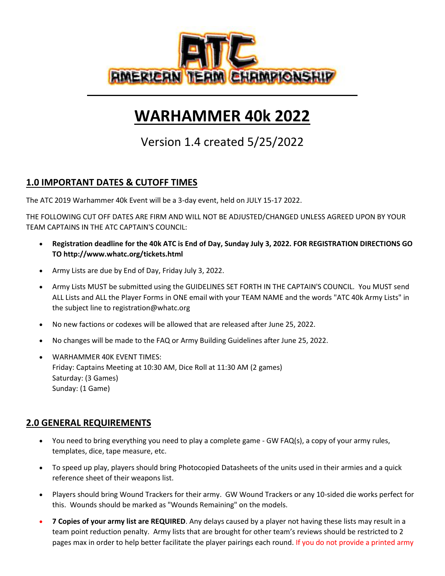

# **WARHAMMER 40k 2022**

Version 1.4 created 5/25/2022

## **1.0 IMPORTANT DATES & CUTOFF TIMES**

The ATC 2019 Warhammer 40k Event will be a 3-day event, held on JULY 15-17 2022.

THE FOLLOWING CUT OFF DATES ARE FIRM AND WILL NOT BE ADJUSTED/CHANGED UNLESS AGREED UPON BY YOUR TEAM CAPTAINS IN THE ATC CAPTAIN'S COUNCIL:

- **Registration deadline for the 40k ATC is End of Day, Sunday July 3, 2022. FOR REGISTRATION DIRECTIONS GO TO http://www.whatc.org/tickets.html**
- Army Lists are due by End of Day, Friday July 3, 2022.
- Army Lists MUST be submitted using the GUIDELINES SET FORTH IN THE CAPTAIN'S COUNCIL. You MUST send ALL Lists and ALL the Player Forms in ONE email with your TEAM NAME and the words "ATC 40k Army Lists" in the subject line to registration@whatc.org
- No new factions or codexes will be allowed that are released after June 25, 2022.
- No changes will be made to the FAQ or Army Building Guidelines after June 25, 2022.
- WARHAMMER 40K EVENT TIMES: Friday: Captains Meeting at 10:30 AM, Dice Roll at 11:30 AM (2 games) Saturday: (3 Games) Sunday: (1 Game)

## **2.0 GENERAL REQUIREMENTS**

- You need to bring everything you need to play a complete game GW FAQ(s), a copy of your army rules, templates, dice, tape measure, etc.
- To speed up play, players should bring Photocopied Datasheets of the units used in their armies and a quick reference sheet of their weapons list.
- Players should bring Wound Trackers for their army. GW Wound Trackers or any 10-sided die works perfect for this. Wounds should be marked as "Wounds Remaining" on the models.
- **7 Copies of your army list are REQUIRED**. Any delays caused by a player not having these lists may result in a team point reduction penalty. Army lists that are brought for other team's reviews should be restricted to 2 pages max in order to help better facilitate the player pairings each round. If you do not provide a printed army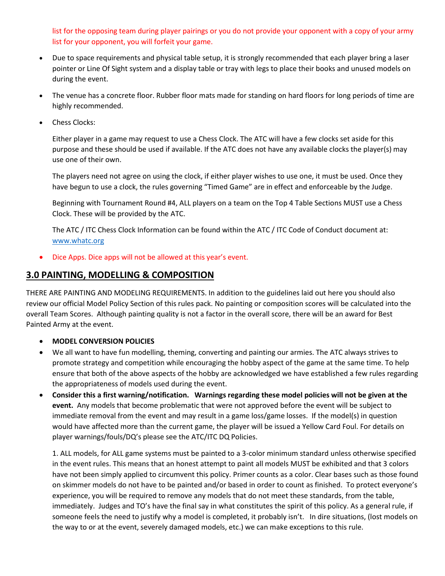list for the opposing team during player pairings or you do not provide your opponent with a copy of your army list for your opponent, you will forfeit your game.

- Due to space requirements and physical table setup, it is strongly recommended that each player bring a laser pointer or Line Of Sight system and a display table or tray with legs to place their books and unused models on during the event.
- The venue has a concrete floor. Rubber floor mats made for standing on hard floors for long periods of time are highly recommended.
- Chess Clocks:

Either player in a game may request to use a Chess Clock. The ATC will have a few clocks set aside for this purpose and these should be used if available. If the ATC does not have any available clocks the player(s) may use one of their own.

The players need not agree on using the clock, if either player wishes to use one, it must be used. Once they have begun to use a clock, the rules governing "Timed Game" are in effect and enforceable by the Judge.

Beginning with Tournament Round #4, ALL players on a team on the Top 4 Table Sections MUST use a Chess Clock. These will be provided by the ATC.

The ATC / ITC Chess Clock Information can be found within the ATC / ITC Code of Conduct document at: [www.whatc.org](http://www.whatc.org/)

• Dice Apps. Dice apps will not be allowed at this year's event.

### **3.0 PAINTING, MODELLING & COMPOSITION**

THERE ARE PAINTING AND MODELING REQUIREMENTS. In addition to the guidelines laid out here you should also review our official Model Policy Section of this rules pack. No painting or composition scores will be calculated into the overall Team Scores. Although painting quality is not a factor in the overall score, there will be an award for Best Painted Army at the event.

### • **MODEL CONVERSION POLICIES**

- We all want to have fun modelling, theming, converting and painting our armies. The ATC always strives to promote strategy and competition while encouraging the hobby aspect of the game at the same time. To help ensure that both of the above aspects of the hobby are acknowledged we have established a few rules regarding the appropriateness of models used during the event.
- **Consider this a first warning/notification. Warnings regarding these model policies will not be given at the event.** Any models that become problematic that were not approved before the event will be subject to immediate removal from the event and may result in a game loss/game losses. If the model(s) in question would have affected more than the current game, the player will be issued a Yellow Card Foul. For details on player warnings/fouls/DQ's please see the ATC/ITC DQ Policies.

1. ALL models, for ALL game systems must be painted to a 3-color minimum standard unless otherwise specified in the event rules. This means that an honest attempt to paint all models MUST be exhibited and that 3 colors have not been simply applied to circumvent this policy. Primer counts as a color. Clear bases such as those found on skimmer models do not have to be painted and/or based in order to count as finished. To protect everyone's experience, you will be required to remove any models that do not meet these standards, from the table, immediately. Judges and TO's have the final say in what constitutes the spirit of this policy. As a general rule, if someone feels the need to justify why a model is completed, it probably isn't. In dire situations, (lost models on the way to or at the event, severely damaged models, etc.) we can make exceptions to this rule.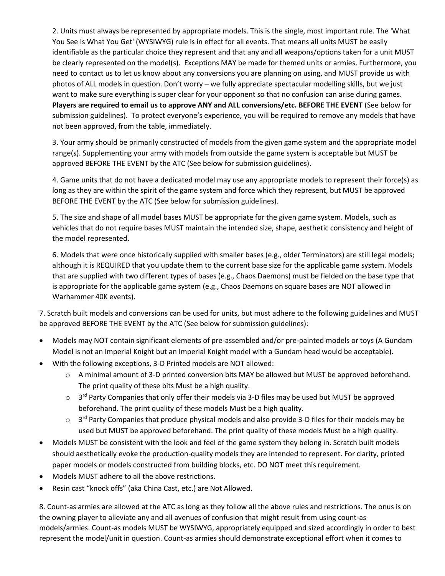2. Units must always be represented by appropriate models. This is the single, most important rule. The 'What You See Is What You Get' (WYSIWYG) rule is in effect for all events. That means all units MUST be easily identifiable as the particular choice they represent and that any and all weapons/options taken for a unit MUST be clearly represented on the model(s). Exceptions MAY be made for themed units or armies. Furthermore, you need to contact us to let us know about any conversions you are planning on using, and MUST provide us with photos of ALL models in question. Don't worry – we fully appreciate spectacular modelling skills, but we just want to make sure everything is super clear for your opponent so that no confusion can arise during games. **Players are required to email us to approve ANY and ALL conversions/etc. BEFORE THE EVENT** (See below for submission guidelines). To protect everyone's experience, you will be required to remove any models that have not been approved, from the table, immediately.

3. Your army should be primarily constructed of models from the given game system and the appropriate model range(s). Supplementing your army with models from outside the game system is acceptable but MUST be approved BEFORE THE EVENT by the ATC (See below for submission guidelines).

4. Game units that do not have a dedicated model may use any appropriate models to represent their force(s) as long as they are within the spirit of the game system and force which they represent, but MUST be approved BEFORE THE EVENT by the ATC (See below for submission guidelines).

5. The size and shape of all model bases MUST be appropriate for the given game system. Models, such as vehicles that do not require bases MUST maintain the intended size, shape, aesthetic consistency and height of the model represented.

6. Models that were once historically supplied with smaller bases (e.g., older Terminators) are still legal models; although it is REQUIRED that you update them to the current base size for the applicable game system. Models that are supplied with two different types of bases (e.g., Chaos Daemons) must be fielded on the base type that is appropriate for the applicable game system (e.g., Chaos Daemons on square bases are NOT allowed in Warhammer 40K events).

7. Scratch built models and conversions can be used for units, but must adhere to the following guidelines and MUST be approved BEFORE THE EVENT by the ATC (See below for submission guidelines):

- Models may NOT contain significant elements of pre-assembled and/or pre-painted models or toys (A Gundam Model is not an Imperial Knight but an Imperial Knight model with a Gundam head would be acceptable).
- With the following exceptions, 3-D Printed models are NOT allowed:
	- o A minimal amount of 3-D printed conversion bits MAY be allowed but MUST be approved beforehand. The print quality of these bits Must be a high quality.
	- $\circ$  3<sup>rd</sup> Party Companies that only offer their models via 3-D files may be used but MUST be approved beforehand. The print quality of these models Must be a high quality.
	- $\circ$  3<sup>rd</sup> Party Companies that produce physical models and also provide 3-D files for their models may be used but MUST be approved beforehand. The print quality of these models Must be a high quality.
- Models MUST be consistent with the look and feel of the game system they belong in. Scratch built models should aesthetically evoke the production-quality models they are intended to represent. For clarity, printed paper models or models constructed from building blocks, etc. DO NOT meet this requirement.
- Models MUST adhere to all the above restrictions.
- Resin cast "knock offs" (aka China Cast, etc.) are Not Allowed.

8. Count-as armies are allowed at the ATC as long as they follow all the above rules and restrictions. The onus is on the owning player to alleviate any and all avenues of confusion that might result from using count-as models/armies. Count-as models MUST be WYSIWYG, appropriately equipped and sized accordingly in order to best represent the model/unit in question. Count-as armies should demonstrate exceptional effort when it comes to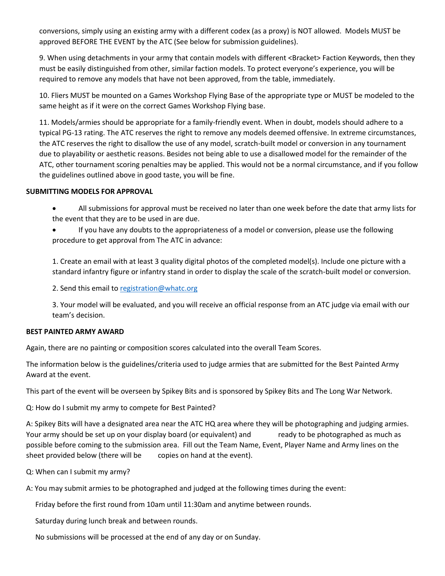conversions, simply using an existing army with a different codex (as a proxy) is NOT allowed. Models MUST be approved BEFORE THE EVENT by the ATC (See below for submission guidelines).

9. When using detachments in your army that contain models with different <Bracket>Faction Keywords, then they must be easily distinguished from other, similar faction models. To protect everyone's experience, you will be required to remove any models that have not been approved, from the table, immediately.

10. Fliers MUST be mounted on a Games Workshop Flying Base of the appropriate type or MUST be modeled to the same height as if it were on the correct Games Workshop Flying base.

11. Models/armies should be appropriate for a family-friendly event. When in doubt, models should adhere to a typical PG-13 rating. The ATC reserves the right to remove any models deemed offensive. In extreme circumstances, the ATC reserves the right to disallow the use of any model, scratch-built model or conversion in any tournament due to playability or aesthetic reasons. Besides not being able to use a disallowed model for the remainder of the ATC, other tournament scoring penalties may be applied. This would not be a normal circumstance, and if you follow the guidelines outlined above in good taste, you will be fine.

#### **SUBMITTING MODELS FOR APPROVAL**

- All submissions for approval must be received no later than one week before the date that army lists for the event that they are to be used in are due.
- If you have any doubts to the appropriateness of a model or conversion, please use the following procedure to get approval from The ATC in advance:

1. Create an email with at least 3 quality digital photos of the completed model(s). Include one picture with a standard infantry figure or infantry stand in order to display the scale of the scratch-built model or conversion.

2. Send this email to [registration@whatc.org](mailto:registration@whatc.org)

3. Your model will be evaluated, and you will receive an official response from an ATC judge via email with our team's decision.

#### **BEST PAINTED ARMY AWARD**

Again, there are no painting or composition scores calculated into the overall Team Scores.

The information below is the guidelines/criteria used to judge armies that are submitted for the Best Painted Army Award at the event.

This part of the event will be overseen by Spikey Bits and is sponsored by Spikey Bits and The Long War Network.

Q: How do I submit my army to compete for Best Painted?

A: Spikey Bits will have a designated area near the ATC HQ area where they will be photographing and judging armies. Your army should be set up on your display board (or equivalent) and ready to be photographed as much as possible before coming to the submission area. Fill out the Team Name, Event, Player Name and Army lines on the sheet provided below (there will be copies on hand at the event).

Q: When can I submit my army?

A: You may submit armies to be photographed and judged at the following times during the event:

Friday before the first round from 10am until 11:30am and anytime between rounds.

Saturday during lunch break and between rounds.

No submissions will be processed at the end of any day or on Sunday.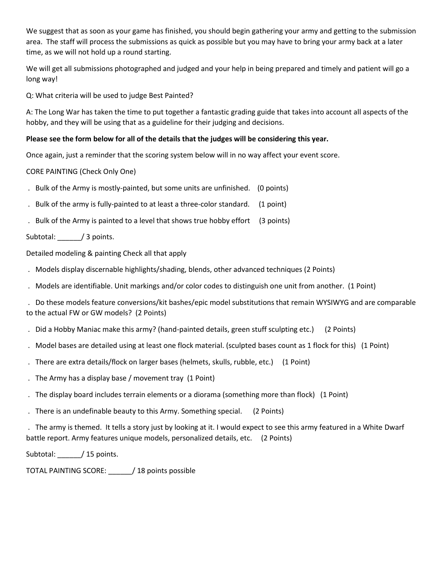We suggest that as soon as your game has finished, you should begin gathering your army and getting to the submission area. The staff will process the submissions as quick as possible but you may have to bring your army back at a later time, as we will not hold up a round starting.

We will get all submissions photographed and judged and your help in being prepared and timely and patient will go a long way!

Q: What criteria will be used to judge Best Painted?

A: The Long War has taken the time to put together a fantastic grading guide that takes into account all aspects of the hobby, and they will be using that as a guideline for their judging and decisions.

#### **Please see the form below for all of the details that the judges will be considering this year.**

Once again, just a reminder that the scoring system below will in no way affect your event score.

CORE PAINTING (Check Only One)

- . Bulk of the Army is mostly-painted, but some units are unfinished. (0 points)
- . Bulk of the army is fully-painted to at least a three-color standard. (1 point)
- . Bulk of the Army is painted to a level that shows true hobby effort (3 points)

Subtotal: / 3 points.

Detailed modeling & painting Check all that apply

- . Models display discernable highlights/shading, blends, other advanced techniques (2 Points)
- . Models are identifiable. Unit markings and/or color codes to distinguish one unit from another. (1 Point)
- . Do these models feature conversions/kit bashes/epic model substitutions that remain WYSIWYG and are comparable to the actual FW or GW models? (2 Points)
- . Did a Hobby Maniac make this army? (hand-painted details, green stuff sculpting etc.) (2 Points)
- . Model bases are detailed using at least one flock material. (sculpted bases count as 1 flock for this) (1 Point)
- . There are extra details/flock on larger bases (helmets, skulls, rubble, etc.) (1 Point)
- . The Army has a display base / movement tray (1 Point)
- . The display board includes terrain elements or a diorama (something more than flock) (1 Point)
- . There is an undefinable beauty to this Army. Something special. (2 Points)

. The army is themed. It tells a story just by looking at it. I would expect to see this army featured in a White Dwarf battle report. Army features unique models, personalized details, etc. (2 Points)

Subtotal: \_\_\_\_\_\_/ 15 points.

TOTAL PAINTING SCORE: \_\_\_\_\_\_/ 18 points possible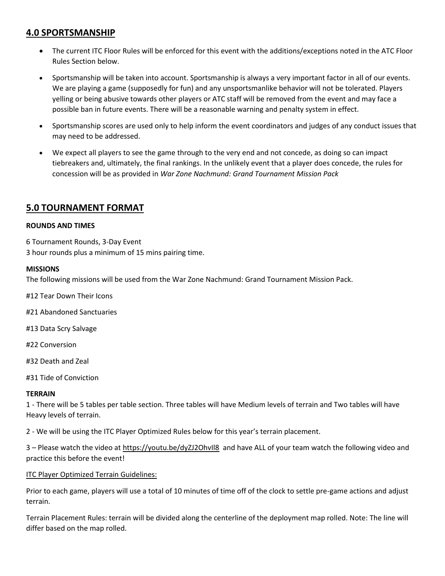### **4.0 SPORTSMANSHIP**

- The current ITC Floor Rules will be enforced for this event with the additions/exceptions noted in the ATC Floor Rules Section below.
- Sportsmanship will be taken into account. Sportsmanship is always a very important factor in all of our events. We are playing a game (supposedly for fun) and any unsportsmanlike behavior will not be tolerated. Players yelling or being abusive towards other players or ATC staff will be removed from the event and may face a possible ban in future events. There will be a reasonable warning and penalty system in effect.
- Sportsmanship scores are used only to help inform the event coordinators and judges of any conduct issues that may need to be addressed.
- We expect all players to see the game through to the very end and not concede, as doing so can impact tiebreakers and, ultimately, the final rankings. In the unlikely event that a player does concede, the rules for concession will be as provided in *War Zone Nachmund: Grand Tournament Mission Pack*

### **5.0 TOURNAMENT FORMAT**

#### **ROUNDS AND TIMES**

6 Tournament Rounds, 3-Day Event 3 hour rounds plus a minimum of 15 mins pairing time.

### **MISSIONS**

The following missions will be used from the War Zone Nachmund: Grand Tournament Mission Pack.

#12 Tear Down Their Icons

#21 Abandoned Sanctuaries

#13 Data Scry Salvage

#22 Conversion

#32 Death and Zeal

#31 Tide of Conviction

#### **TERRAIN**

1 - There will be 5 tables per table section. Three tables will have Medium levels of terrain and Two tables will have Heavy levels of terrain.

2 - We will be using the ITC Player Optimized Rules below for this year's terrain placement.

3 – Please watch the video at<https://youtu.be/dyZJ2OhvIl8> and have ALL of your team watch the following video and practice this before the event!

### **ITC Player Optimized Terrain Guidelines:**

Prior to each game, players will use a total of 10 minutes of time off of the clock to settle pre-game actions and adjust terrain.

Terrain Placement Rules: terrain will be divided along the centerline of the deployment map rolled. Note: The line will differ based on the map rolled.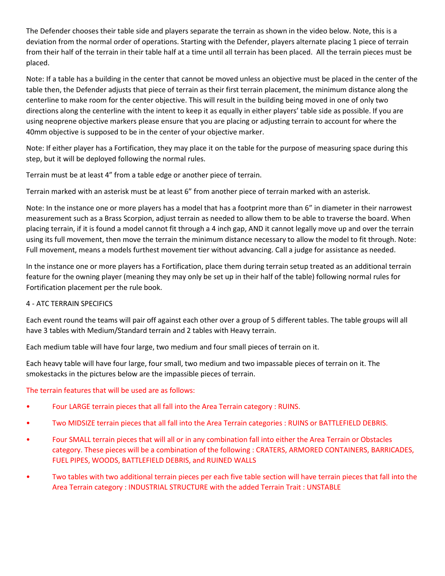The Defender chooses their table side and players separate the terrain as shown in the video below. Note, this is a deviation from the normal order of operations. Starting with the Defender, players alternate placing 1 piece of terrain from their half of the terrain in their table half at a time until all terrain has been placed. All the terrain pieces must be placed.

Note: If a table has a building in the center that cannot be moved unless an objective must be placed in the center of the table then, the Defender adjusts that piece of terrain as their first terrain placement, the minimum distance along the centerline to make room for the center objective. This will result in the building being moved in one of only two directions along the centerline with the intent to keep it as equally in either players' table side as possible. If you are using neoprene objective markers please ensure that you are placing or adjusting terrain to account for where the 40mm objective is supposed to be in the center of your objective marker.

Note: If either player has a Fortification, they may place it on the table for the purpose of measuring space during this step, but it will be deployed following the normal rules.

Terrain must be at least 4" from a table edge or another piece of terrain.

Terrain marked with an asterisk must be at least 6" from another piece of terrain marked with an asterisk.

Note: In the instance one or more players has a model that has a footprint more than 6" in diameter in their narrowest measurement such as a Brass Scorpion, adjust terrain as needed to allow them to be able to traverse the board. When placing terrain, if it is found a model cannot fit through a 4 inch gap, AND it cannot legally move up and over the terrain using its full movement, then move the terrain the minimum distance necessary to allow the model to fit through. Note: Full movement, means a models furthest movement tier without advancing. Call a judge for assistance as needed.

In the instance one or more players has a Fortification, place them during terrain setup treated as an additional terrain feature for the owning player (meaning they may only be set up in their half of the table) following normal rules for Fortification placement per the rule book.

#### 4 - ATC TERRAIN SPECIFICS

Each event round the teams will pair off against each other over a group of 5 different tables. The table groups will all have 3 tables with Medium/Standard terrain and 2 tables with Heavy terrain.

Each medium table will have four large, two medium and four small pieces of terrain on it.

Each heavy table will have four large, four small, two medium and two impassable pieces of terrain on it. The smokestacks in the pictures below are the impassible pieces of terrain.

The terrain features that will be used are as follows:

- Four LARGE terrain pieces that all fall into the Area Terrain category : RUINS.
- Two MIDSIZE terrain pieces that all fall into the Area Terrain categories : RUINS or BATTLEFIELD DEBRIS.
- Four SMALL terrain pieces that will all or in any combination fall into either the Area Terrain or Obstacles category. These pieces will be a combination of the following : CRATERS, ARMORED CONTAINERS, BARRICADES, FUEL PIPES, WOODS, BATTLEFIELD DEBRIS, and RUINED WALLS
- Two tables with two additional terrain pieces per each five table section will have terrain pieces that fall into the Area Terrain category : INDUSTRIAL STRUCTURE with the added Terrain Trait : UNSTABLE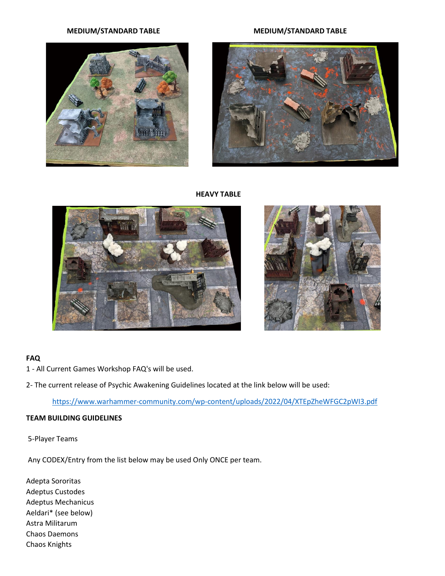#### **MEDIUM/STANDARD TABLE MEDIUM/STANDARD TABLE**





#### **HEAVY TABLE**





#### **FAQ**

1 - All Current Games Workshop FAQ's will be used.

2- The current release of Psychic Awakening Guidelines located at the link below will be used:

<https://www.warhammer-community.com/wp-content/uploads/2022/04/XTEpZheWFGC2pWI3.pdf>

#### **TEAM BUILDING GUIDELINES**

5-Player Teams

Any CODEX/Entry from the list below may be used Only ONCE per team.

Adepta Sororitas Adeptus Custodes Adeptus Mechanicus Aeldari\* (see below) Astra Militarum Chaos Daemons Chaos Knights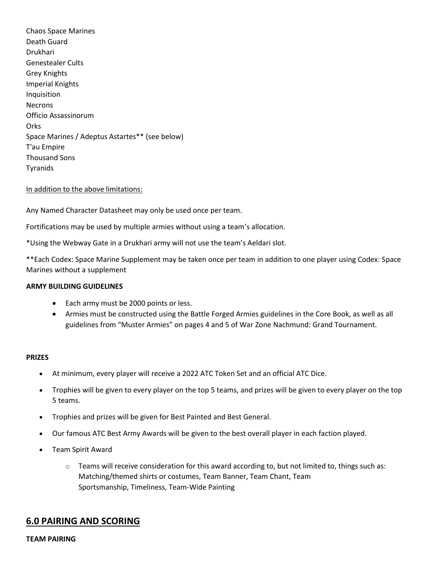Chaos Space Marines Death Guard Drukhari Genestealer Cults Grey Knights Imperial Knights Inquisition Necrons Officio Assassinorum **Orks** Space Marines / Adeptus Astartes\*\* (see below) T'au Empire Thousand Sons Tyranids

In addition to the above limitations:

Any Named Character Datasheet may only be used once per team.

Fortifications may be used by multiple armies without using a team's allocation.

\*Using the Webway Gate in a Drukhari army will not use the team's Aeldari slot.

\*\*Each Codex: Space Marine Supplement may be taken once per team in addition to one player using Codex: Space Marines without a supplement

#### **ARMY BUILDING GUIDELINES**

- Each army must be 2000 points or less.
- Armies must be constructed using the Battle Forged Armies guidelines in the Core Book, as well as all guidelines from "Muster Armies" on pages 4 and 5 of War Zone Nachmund: Grand Tournament.

#### **PRIZES**

- At minimum, every player will receive a 2022 ATC Token Set and an official ATC Dice.
- Trophies will be given to every player on the top 5 teams, and prizes will be given to every player on the top 5 teams.
- Trophies and prizes will be given for Best Painted and Best General.
- Our famous ATC Best Army Awards will be given to the best overall player in each faction played.
- Team Spirit Award
	- $\circ$  Teams will receive consideration for this award according to, but not limited to, things such as: Matching/themed shirts or costumes, Team Banner, Team Chant, Team Sportsmanship, Timeliness, Team-Wide Painting

### **6.0 PAIRING AND SCORING**

#### **TEAM PAIRING**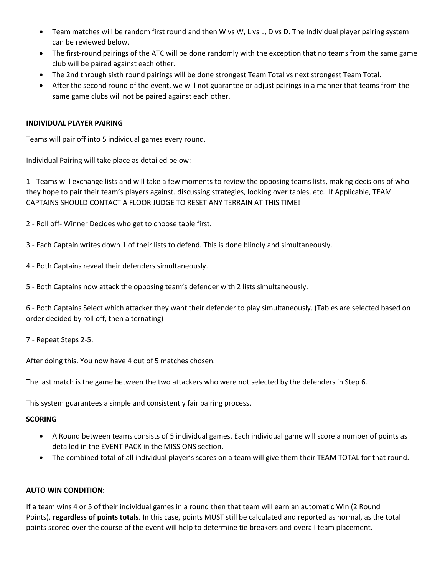- Team matches will be random first round and then W vs W, L vs L, D vs D. The Individual player pairing system can be reviewed below.
- The first-round pairings of the ATC will be done randomly with the exception that no teams from the same game club will be paired against each other.
- The 2nd through sixth round pairings will be done strongest Team Total vs next strongest Team Total.
- After the second round of the event, we will not guarantee or adjust pairings in a manner that teams from the same game clubs will not be paired against each other.

#### **INDIVIDUAL PLAYER PAIRING**

Teams will pair off into 5 individual games every round.

Individual Pairing will take place as detailed below:

1 - Teams will exchange lists and will take a few moments to review the opposing teams lists, making decisions of who they hope to pair their team's players against. discussing strategies, looking over tables, etc. If Applicable, TEAM CAPTAINS SHOULD CONTACT A FLOOR JUDGE TO RESET ANY TERRAIN AT THIS TIME!

2 - Roll off- Winner Decides who get to choose table first.

3 - Each Captain writes down 1 of their lists to defend. This is done blindly and simultaneously.

- 4 Both Captains reveal their defenders simultaneously.
- 5 Both Captains now attack the opposing team's defender with 2 lists simultaneously.

6 - Both Captains Select which attacker they want their defender to play simultaneously. (Tables are selected based on order decided by roll off, then alternating)

7 - Repeat Steps 2-5.

After doing this. You now have 4 out of 5 matches chosen.

The last match is the game between the two attackers who were not selected by the defenders in Step 6.

This system guarantees a simple and consistently fair pairing process.

#### **SCORING**

- A Round between teams consists of 5 individual games. Each individual game will score a number of points as detailed in the EVENT PACK in the MISSIONS section.
- The combined total of all individual player's scores on a team will give them their TEAM TOTAL for that round.

#### **AUTO WIN CONDITION:**

If a team wins 4 or 5 of their individual games in a round then that team will earn an automatic Win (2 Round Points), **regardless of points totals**. In this case, points MUST still be calculated and reported as normal, as the total points scored over the course of the event will help to determine tie breakers and overall team placement.